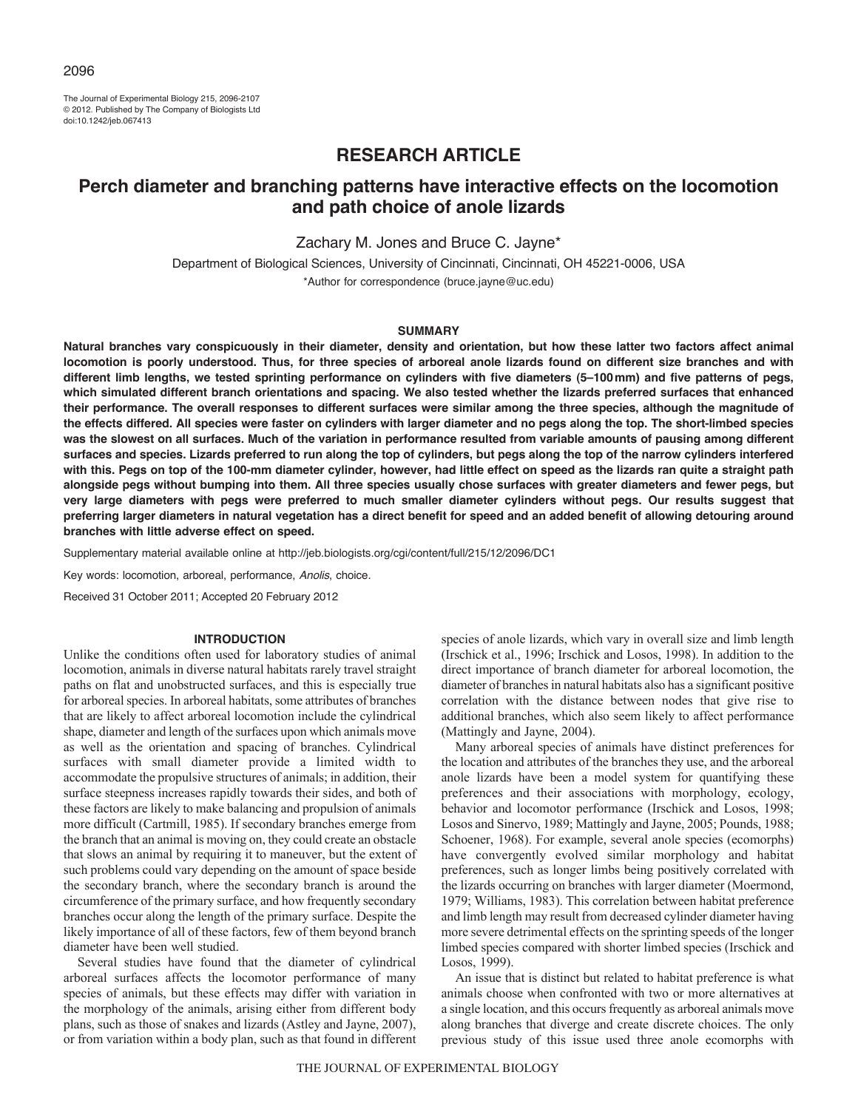The Journal of Experimental Biology 215, 2096-2107 © 2012. Published by The Company of Biologists Ltd doi:10.1242/jeb.067413

# **RESEARCH ARTICLE**

# **Perch diameter and branching patterns have interactive effects on the locomotion and path choice of anole lizards**

Zachary M. Jones and Bruce C. Jayne\*

Department of Biological Sciences, University of Cincinnati, Cincinnati, OH 45221-0006, USA \*Author for correspondence (bruce.jayne@uc.edu)

#### **SUMMARY**

**Natural branches vary conspicuously in their diameter, density and orientation, but how these latter two factors affect animal locomotion is poorly understood. Thus, for three species of arboreal anole lizards found on different size branches and with different limb lengths, we tested sprinting performance on cylinders with five diameters (5–100mm) and five patterns of pegs, which simulated different branch orientations and spacing. We also tested whether the lizards preferred surfaces that enhanced their performance. The overall responses to different surfaces were similar among the three species, although the magnitude of the effects differed. All species were faster on cylinders with larger diameter and no pegs along the top. The short-limbed species was the slowest on all surfaces. Much of the variation in performance resulted from variable amounts of pausing among different surfaces and species. Lizards preferred to run along the top of cylinders, but pegs along the top of the narrow cylinders interfered with this. Pegs on top of the 100-mm diameter cylinder, however, had little effect on speed as the lizards ran quite a straight path alongside pegs without bumping into them. All three species usually chose surfaces with greater diameters and fewer pegs, but very large diameters with pegs were preferred to much smaller diameter cylinders without pegs. Our results suggest that preferring larger diameters in natural vegetation has a direct benefit for speed and an added benefit of allowing detouring around branches with little adverse effect on speed.**

Supplementary material available online at http://jeb.biologists.org/cgi/content/full/215/12/2096/DC1

Key words: locomotion, arboreal, performance, *Anolis*, choice.

Received 31 October 2011; Accepted 20 February 2012

# **INTRODUCTION**

Unlike the conditions often used for laboratory studies of animal locomotion, animals in diverse natural habitats rarely travel straight paths on flat and unobstructed surfaces, and this is especially true for arboreal species. In arboreal habitats, some attributes of branches that are likely to affect arboreal locomotion include the cylindrical shape, diameter and length of the surfaces upon which animals move as well as the orientation and spacing of branches. Cylindrical surfaces with small diameter provide a limited width to accommodate the propulsive structures of animals; in addition, their surface steepness increases rapidly towards their sides, and both of these factors are likely to make balancing and propulsion of animals more difficult (Cartmill, 1985). If secondary branches emerge from the branch that an animal is moving on, they could create an obstacle that slows an animal by requiring it to maneuver, but the extent of such problems could vary depending on the amount of space beside the secondary branch, where the secondary branch is around the circumference of the primary surface, and how frequently secondary branches occur along the length of the primary surface. Despite the likely importance of all of these factors, few of them beyond branch diameter have been well studied.

Several studies have found that the diameter of cylindrical arboreal surfaces affects the locomotor performance of many species of animals, but these effects may differ with variation in the morphology of the animals, arising either from different body plans, such as those of snakes and lizards (Astley and Jayne, 2007), or from variation within a body plan, such as that found in different

species of anole lizards, which vary in overall size and limb length (Irschick et al., 1996; Irschick and Losos, 1998). In addition to the direct importance of branch diameter for arboreal locomotion, the diameter of branches in natural habitats also has a significant positive correlation with the distance between nodes that give rise to additional branches, which also seem likely to affect performance (Mattingly and Jayne, 2004).

Many arboreal species of animals have distinct preferences for the location and attributes of the branches they use, and the arboreal anole lizards have been a model system for quantifying these preferences and their associations with morphology, ecology, behavior and locomotor performance (Irschick and Losos, 1998; Losos and Sinervo, 1989; Mattingly and Jayne, 2005; Pounds, 1988; Schoener, 1968). For example, several anole species (ecomorphs) have convergently evolved similar morphology and habitat preferences, such as longer limbs being positively correlated with the lizards occurring on branches with larger diameter (Moermond, 1979; Williams, 1983). This correlation between habitat preference and limb length may result from decreased cylinder diameter having more severe detrimental effects on the sprinting speeds of the longer limbed species compared with shorter limbed species (Irschick and Losos, 1999).

An issue that is distinct but related to habitat preference is what animals choose when confronted with two or more alternatives at a single location, and this occurs frequently as arboreal animals move along branches that diverge and create discrete choices. The only previous study of this issue used three anole ecomorphs with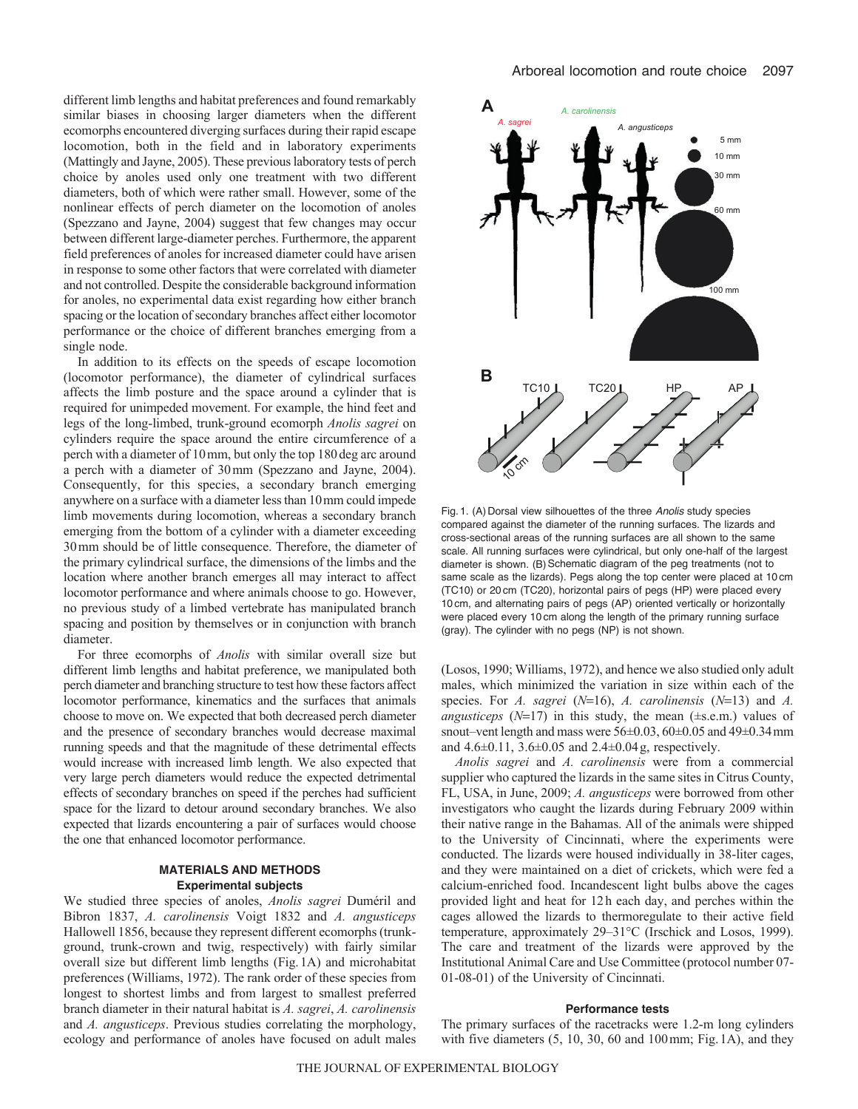different limb lengths and habitat preferences and found remarkably similar biases in choosing larger diameters when the different ecomorphs encountered diverging surfaces during their rapid escape locomotion, both in the field and in laboratory experiments (Mattingly and Jayne, 2005). These previous laboratory tests of perch choice by anoles used only one treatment with two different diameters, both of which were rather small. However, some of the nonlinear effects of perch diameter on the locomotion of anoles (Spezzano and Jayne, 2004) suggest that few changes may occur between different large-diameter perches. Furthermore, the apparent field preferences of anoles for increased diameter could have arisen in response to some other factors that were correlated with diameter and not controlled. Despite the considerable background information for anoles, no experimental data exist regarding how either branch spacing or the location of secondary branches affect either locomotor performance or the choice of different branches emerging from a single node.

In addition to its effects on the speeds of escape locomotion (locomotor performance), the diameter of cylindrical surfaces affects the limb posture and the space around a cylinder that is required for unimpeded movement. For example, the hind feet and legs of the long-limbed, trunk-ground ecomorph *Anolis sagrei* on cylinders require the space around the entire circumference of a perch with a diameter of 10mm, but only the top 180deg arc around a perch with a diameter of 30mm (Spezzano and Jayne, 2004). Consequently, for this species, a secondary branch emerging anywhere on a surface with a diameter less than 10mm could impede limb movements during locomotion, whereas a secondary branch emerging from the bottom of a cylinder with a diameter exceeding 30mm should be of little consequence. Therefore, the diameter of the primary cylindrical surface, the dimensions of the limbs and the location where another branch emerges all may interact to affect locomotor performance and where animals choose to go. However, no previous study of a limbed vertebrate has manipulated branch spacing and position by themselves or in conjunction with branch diameter.

For three ecomorphs of *Anolis* with similar overall size but different limb lengths and habitat preference, we manipulated both perch diameter and branching structure to test how these factors affect locomotor performance, kinematics and the surfaces that animals choose to move on. We expected that both decreased perch diameter and the presence of secondary branches would decrease maximal running speeds and that the magnitude of these detrimental effects would increase with increased limb length. We also expected that very large perch diameters would reduce the expected detrimental effects of secondary branches on speed if the perches had sufficient space for the lizard to detour around secondary branches. We also expected that lizards encountering a pair of surfaces would choose the one that enhanced locomotor performance.

# **MATERIALS AND METHODS Experimental subjects**

We studied three species of anoles, *Anolis sagrei* Duméril and Bibron 1837, *A. carolinensis* Voigt 1832 and *A. angusticeps* Hallowell 1856, because they represent different ecomorphs (trunkground, trunk-crown and twig, respectively) with fairly similar overall size but different limb lengths (Fig.1A) and microhabitat preferences (Williams, 1972). The rank order of these species from longest to shortest limbs and from largest to smallest preferred branch diameter in their natural habitat is *A. sagrei*, *A. carolinensis* and *A. angusticeps*. Previous studies correlating the morphology, ecology and performance of anoles have focused on adult males



Fig. 1. (A) Dorsal view silhouettes of the three *Anolis* study species compared against the diameter of the running surfaces. The lizards and cross-sectional areas of the running surfaces are all shown to the same scale. All running surfaces were cylindrical, but only one-half of the largest diameter is shown. (B) Schematic diagram of the peg treatments (not to same scale as the lizards). Pegs along the top center were placed at 10 cm (TC10) or 20 cm (TC20), horizontal pairs of pegs (HP) were placed every 10 cm, and alternating pairs of pegs (AP) oriented vertically or horizontally were placed every 10 cm along the length of the primary running surface (gray). The cylinder with no pegs (NP) is not shown.

(Losos, 1990; Williams, 1972), and hence we also studied only adult males, which minimized the variation in size within each of the species. For *A. sagrei (N*=16), *A. carolinensis (N*=13) and *A. angusticeps* ( $N=17$ ) in this study, the mean ( $\pm$ s.e.m.) values of snout–vent length and mass were  $56\pm0.03$ ,  $60\pm0.05$  and  $49\pm0.34$  mm and  $4.6\pm0.11$ ,  $3.6\pm0.05$  and  $2.4\pm0.04$  g, respectively.

*Anolis sagrei* and *A. carolinensis* were from a commercial supplier who captured the lizards in the same sites in Citrus County, FL, USA, in June, 2009; *A. angusticeps* were borrowed from other investigators who caught the lizards during February 2009 within their native range in the Bahamas. All of the animals were shipped to the University of Cincinnati, where the experiments were conducted. The lizards were housed individually in 38-liter cages, and they were maintained on a diet of crickets, which were fed a calcium-enriched food. Incandescent light bulbs above the cages provided light and heat for 12h each day, and perches within the cages allowed the lizards to thermoregulate to their active field temperature, approximately 29–31°C (Irschick and Losos, 1999). The care and treatment of the lizards were approved by the Institutional Animal Care and Use Committee (protocol number 07- 01-08-01) of the University of Cincinnati.

## **Performance tests**

The primary surfaces of the racetracks were 1.2-m long cylinders with five diameters (5, 10, 30, 60 and 100mm; Fig.1A), and they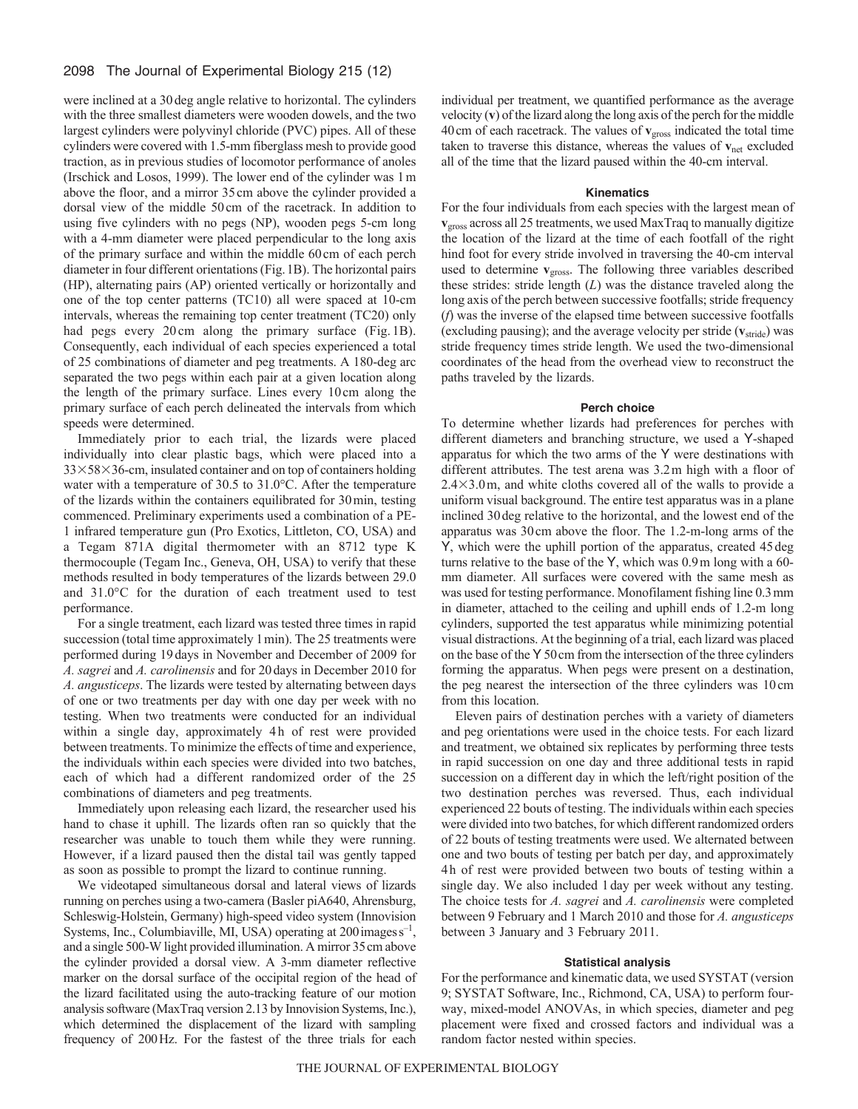# 2098 The Journal of Experimental Biology 215 (12)

were inclined at a 30deg angle relative to horizontal. The cylinders with the three smallest diameters were wooden dowels, and the two largest cylinders were polyvinyl chloride (PVC) pipes. All of these cylinders were covered with 1.5-mm fiberglass mesh to provide good traction, as in previous studies of locomotor performance of anoles (Irschick and Losos, 1999). The lower end of the cylinder was 1m above the floor, and a mirror 35cm above the cylinder provided a dorsal view of the middle 50cm of the racetrack. In addition to using five cylinders with no pegs (NP), wooden pegs 5-cm long with a 4-mm diameter were placed perpendicular to the long axis of the primary surface and within the middle 60cm of each perch diameter in four different orientations (Fig.1B). The horizontal pairs (HP), alternating pairs (AP) oriented vertically or horizontally and one of the top center patterns (TC10) all were spaced at 10-cm intervals, whereas the remaining top center treatment (TC20) only had pegs every 20 cm along the primary surface (Fig. 1B). Consequently, each individual of each species experienced a total of 25 combinations of diameter and peg treatments. A 180-deg arc separated the two pegs within each pair at a given location along the length of the primary surface. Lines every 10cm along the primary surface of each perch delineated the intervals from which speeds were determined.

Immediately prior to each trial, the lizards were placed individually into clear plastic bags, which were placed into a 33×58×36-cm, insulated container and on top of containers holding water with a temperature of 30.5 to 31.0°C. After the temperature of the lizards within the containers equilibrated for 30min, testing commenced. Preliminary experiments used a combination of a PE-1 infrared temperature gun (Pro Exotics, Littleton, CO, USA) and a Tegam 871A digital thermometer with an 8712 type K thermocouple (Tegam Inc., Geneva, OH, USA) to verify that these methods resulted in body temperatures of the lizards between 29.0 and 31.0°C for the duration of each treatment used to test performance.

For a single treatment, each lizard was tested three times in rapid succession (total time approximately 1 min). The 25 treatments were performed during 19days in November and December of 2009 for *A. sagrei* and *A. carolinensis* and for 20days in December 2010 for *A. angusticeps*. The lizards were tested by alternating between days of one or two treatments per day with one day per week with no testing. When two treatments were conducted for an individual within a single day, approximately 4h of rest were provided between treatments. To minimize the effects of time and experience, the individuals within each species were divided into two batches, each of which had a different randomized order of the 25 combinations of diameters and peg treatments.

Immediately upon releasing each lizard, the researcher used his hand to chase it uphill. The lizards often ran so quickly that the researcher was unable to touch them while they were running. However, if a lizard paused then the distal tail was gently tapped as soon as possible to prompt the lizard to continue running.

We videotaped simultaneous dorsal and lateral views of lizards running on perches using a two-camera (Basler piA640, Ahrensburg, Schleswig-Holstein, Germany) high-speed video system (Innovision Systems, Inc., Columbiaville, MI, USA) operating at  $200$  images  $s^{-1}$ , and a single 500-W light provided illumination. A mirror 35cm above the cylinder provided a dorsal view. A 3-mm diameter reflective marker on the dorsal surface of the occipital region of the head of the lizard facilitated using the auto-tracking feature of our motion analysis software (MaxTraq version 2.13 by Innovision Systems, Inc.), which determined the displacement of the lizard with sampling frequency of 200Hz. For the fastest of the three trials for each

individual per treatment, we quantified performance as the average velocity (**v**) of the lizard along the long axis of the perch for the middle 40cm of each racetrack. The values of **v**gross indicated the total time taken to traverse this distance, whereas the values of **v**net excluded all of the time that the lizard paused within the 40-cm interval.

## **Kinematics**

For the four individuals from each species with the largest mean of **v**gross across all 25 treatments, we used MaxTraq to manually digitize the location of the lizard at the time of each footfall of the right hind foot for every stride involved in traversing the 40-cm interval used to determine **v**<sub>gross</sub>. The following three variables described these strides: stride length (*L*) was the distance traveled along the long axis of the perch between successive footfalls; stride frequency (*f*) was the inverse of the elapsed time between successive footfalls (excluding pausing); and the average velocity per stride (**v**stride) was stride frequency times stride length. We used the two-dimensional coordinates of the head from the overhead view to reconstruct the paths traveled by the lizards.

#### **Perch choice**

To determine whether lizards had preferences for perches with different diameters and branching structure, we used a Y-shaped apparatus for which the two arms of the Y were destinations with different attributes. The test arena was 3.2m high with a floor of  $2.4 \times 3.0$  m, and white cloths covered all of the walls to provide a uniform visual background. The entire test apparatus was in a plane inclined 30deg relative to the horizontal, and the lowest end of the apparatus was 30cm above the floor. The 1.2-m-long arms of the Y, which were the uphill portion of the apparatus, created 45deg turns relative to the base of the Y, which was 0.9m long with a 60 mm diameter. All surfaces were covered with the same mesh as was used for testing performance. Monofilament fishing line 0.3mm in diameter, attached to the ceiling and uphill ends of 1.2-m long cylinders, supported the test apparatus while minimizing potential visual distractions. At the beginning of a trial, each lizard was placed on the base of the Y 50cm from the intersection of the three cylinders forming the apparatus. When pegs were present on a destination, the peg nearest the intersection of the three cylinders was 10cm from this location.

Eleven pairs of destination perches with a variety of diameters and peg orientations were used in the choice tests. For each lizard and treatment, we obtained six replicates by performing three tests in rapid succession on one day and three additional tests in rapid succession on a different day in which the left/right position of the two destination perches was reversed. Thus, each individual experienced 22 bouts of testing. The individuals within each species were divided into two batches, for which different randomized orders of 22 bouts of testing treatments were used. We alternated between one and two bouts of testing per batch per day, and approximately 4h of rest were provided between two bouts of testing within a single day. We also included 1day per week without any testing. The choice tests for *A. sagrei* and *A. carolinensis* were completed between 9 February and 1 March 2010 and those for *A. angusticeps* between 3 January and 3 February 2011.

#### **Statistical analysis**

For the performance and kinematic data, we used SYSTAT (version 9; SYSTAT Software, Inc., Richmond, CA, USA) to perform fourway, mixed-model ANOVAs, in which species, diameter and peg placement were fixed and crossed factors and individual was a random factor nested within species.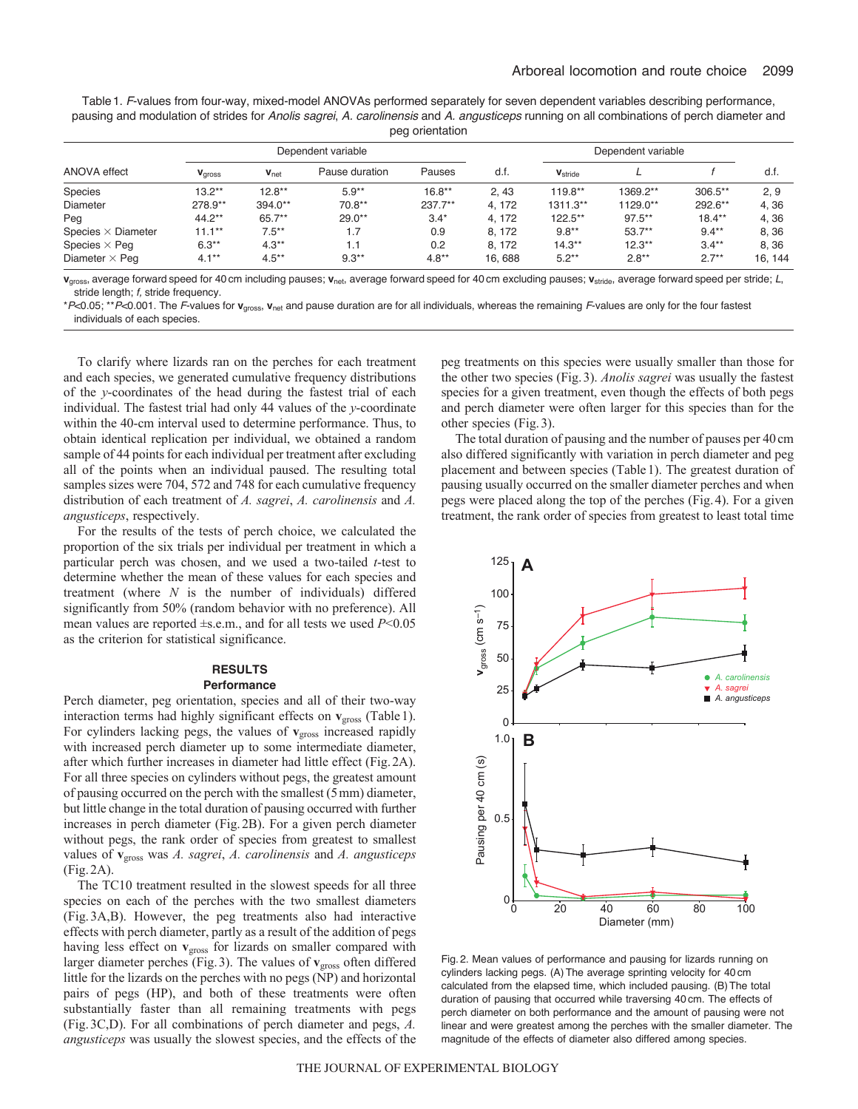Table1. *F*-values from four-way, mixed-model ANOVAs performed separately for seven dependent variables describing performance, pausing and modulation of strides for *Anolis sagrei*, *A. carolinensis* and *A. angusticeps* running on all combinations of perch diameter and peg orientation

| ANOVA effect              | Dependent variable |          |                |           |        | Dependent variable         |           |           |         |
|---------------------------|--------------------|----------|----------------|-----------|--------|----------------------------|-----------|-----------|---------|
|                           | Vgross             | $vnet$   | Pause duration | Pauses    | d.f.   | <b>V</b> <sub>stride</sub> |           |           | d.f.    |
| Species                   | $13.2***$          | $12.8**$ | $5.9**$        | $16.8**$  | 2.43   | $119.8**$                  | 1369.2**  | $306.5**$ | 2.9     |
| Diameter                  | 278.9**            | 394.0**  | $70.8**$       | $237.7**$ | 4.172  | 1311.3**                   | 1129.0**  | 292.6**   | 4,36    |
| Peg                       | $44.2**$           | $65.7**$ | $29.0**$       | $3.4*$    | 4.172  | $122.5**$                  | $97.5***$ | $18.4**$  | 4,36    |
| Species $\times$ Diameter | $11.1***$          | $7.5***$ | 1.7            | 0.9       | 8.172  | $9.8***$                   | $53.7**$  | $9.4***$  | 8.36    |
| Species $\times$ Peq      | $6.3**$            | $4.3**$  | 1.1            | 0.2       | 8, 172 | $14.3**$                   | $12.3**$  | $3.4***$  | 8.36    |
| Diameter $\times$ Peg     | $4.1***$           | $4.5***$ | $9.3***$       | $4.8**$   | 16,688 | $5.2***$                   | $2.8***$  | $2.7***$  | 16, 144 |

**v**gross, average forward speed for 40 cm including pauses; **v**net, average forward speed for 40 cm excluding pauses; **v**stride, average forward speed per stride; *L*, stride length; *f,* stride frequency.

\**P*<0.05; \*\**P*<0.001. The *F*-values for **v**gross, **v**net and pause duration are for all individuals, whereas the remaining *F*-values are only for the four fastest individuals of each species.

To clarify where lizards ran on the perches for each treatment and each species, we generated cumulative frequency distributions of the *y*-coordinates of the head during the fastest trial of each individual. The fastest trial had only 44 values of the *y*-coordinate within the 40-cm interval used to determine performance. Thus, to obtain identical replication per individual, we obtained a random sample of 44 points for each individual per treatment after excluding all of the points when an individual paused. The resulting total samples sizes were 704, 572 and 748 for each cumulative frequency distribution of each treatment of *A. sagrei*, *A. carolinensis* and *A. angusticeps*, respectively.

For the results of the tests of perch choice, we calculated the proportion of the six trials per individual per treatment in which a particular perch was chosen, and we used a two-tailed *t*-test to determine whether the mean of these values for each species and treatment (where *N* is the number of individuals) differed significantly from 50% (random behavior with no preference). All mean values are reported ±s.e.m., and for all tests we used *P*<0.05 as the criterion for statistical significance.

#### **RESULTS Performance**

Perch diameter, peg orientation, species and all of their two-way interaction terms had highly significant effects on  $v_{\text{gross}}$  (Table 1). For cylinders lacking pegs, the values of **v**<sub>gross</sub> increased rapidly with increased perch diameter up to some intermediate diameter, after which further increases in diameter had little effect (Fig.2A). For all three species on cylinders without pegs, the greatest amount of pausing occurred on the perch with the smallest (5mm) diameter, but little change in the total duration of pausing occurred with further increases in perch diameter (Fig.2B). For a given perch diameter without pegs, the rank order of species from greatest to smallest values of **v**gross was *A. sagrei*, *A. carolinensis* and *A. angusticeps* (Fig.2A).

The TC10 treatment resulted in the slowest speeds for all three species on each of the perches with the two smallest diameters (Fig.3A,B). However, the peg treatments also had interactive effects with perch diameter, partly as a result of the addition of pegs having less effect on **v**<sub>gross</sub> for lizards on smaller compared with larger diameter perches (Fig. 3). The values of **v**<sub>gross</sub> often differed little for the lizards on the perches with no pegs (NP) and horizontal pairs of pegs (HP), and both of these treatments were often substantially faster than all remaining treatments with pegs (Fig.3C,D). For all combinations of perch diameter and pegs, *A. angusticeps* was usually the slowest species, and the effects of the peg treatments on this species were usually smaller than those for the other two species (Fig.3). *Anolis sagrei* was usually the fastest species for a given treatment, even though the effects of both pegs and perch diameter were often larger for this species than for the other species (Fig.3).

The total duration of pausing and the number of pauses per 40cm also differed significantly with variation in perch diameter and peg placement and between species (Table1). The greatest duration of pausing usually occurred on the smaller diameter perches and when pegs were placed along the top of the perches (Fig.4). For a given treatment, the rank order of species from greatest to least total time



Fig. 2. Mean values of performance and pausing for lizards running on cylinders lacking pegs. (A)The average sprinting velocity for 40 cm calculated from the elapsed time, which included pausing. (B) The total duration of pausing that occurred while traversing 40 cm. The effects of perch diameter on both performance and the amount of pausing were not linear and were greatest among the perches with the smaller diameter. The magnitude of the effects of diameter also differed among species.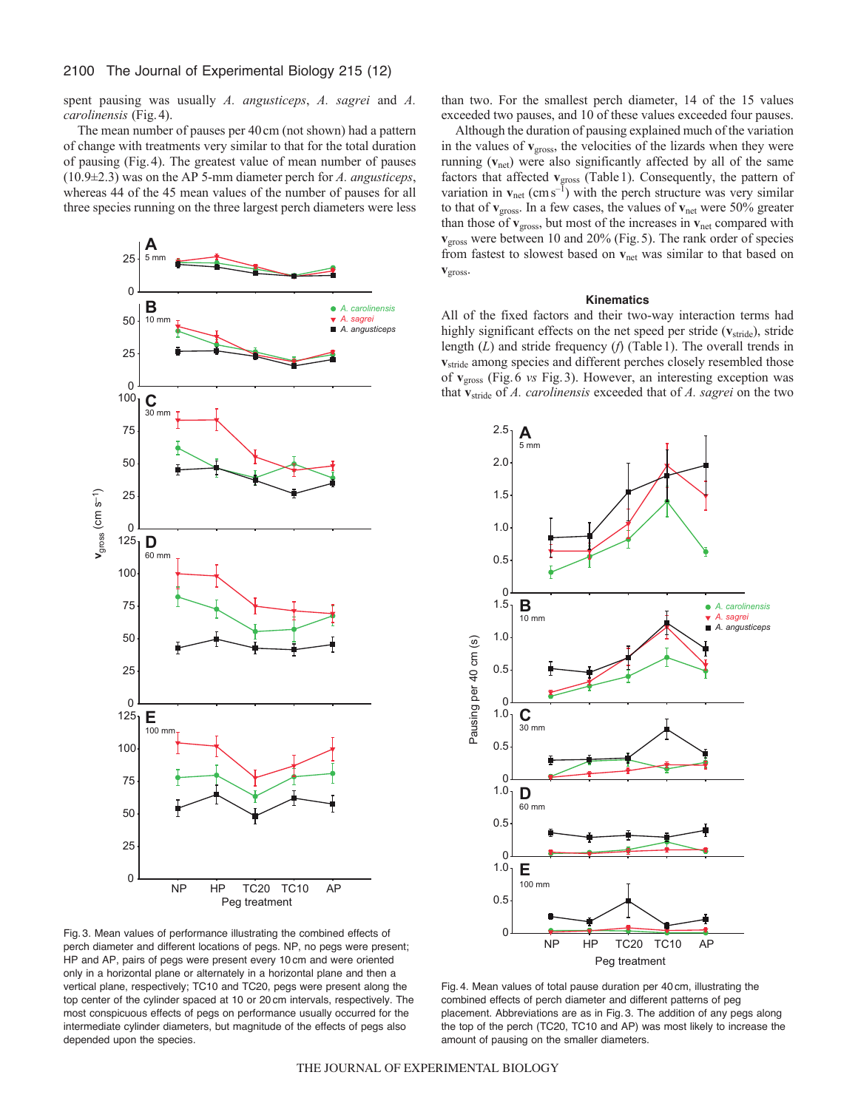spent pausing was usually *A. angusticeps*, *A. sagrei* and *A. carolinensis* (Fig.4).

The mean number of pauses per 40cm (not shown) had a pattern of change with treatments very similar to that for the total duration of pausing (Fig.4). The greatest value of mean number of pauses (10.9±2.3) was on the AP 5-mm diameter perch for *A. angusticeps*, whereas 44 of the 45 mean values of the number of pauses for all three species running on the three largest perch diameters were less



Fig. 3. Mean values of performance illustrating the combined effects of perch diameter and different locations of pegs. NP, no pegs were present; HP and AP, pairs of pegs were present every 10 cm and were oriented only in a horizontal plane or alternately in a horizontal plane and then a vertical plane, respectively; TC10 and TC20, pegs were present along the top center of the cylinder spaced at 10 or 20 cm intervals, respectively. The most conspicuous effects of pegs on performance usually occurred for the intermediate cylinder diameters, but magnitude of the effects of pegs also depended upon the species.

than two. For the smallest perch diameter, 14 of the 15 values exceeded two pauses, and 10 of these values exceeded four pauses.

Although the duration of pausing explained much of the variation in the values of **v**gross, the velocities of the lizards when they were running (**v**net) were also significantly affected by all of the same factors that affected **v**<sub>gross</sub> (Table 1). Consequently, the pattern of variation in  $v_{\text{net}}$  (cms<sup>-1</sup>) with the perch structure was very similar to that of **v**gross. In a few cases, the values of **v**net were 50% greater than those of  $\mathbf{v}_{\text{gross}}$ , but most of the increases in  $\mathbf{v}_{\text{net}}$  compared with **v**gross were between 10 and 20% (Fig.5). The rank order of species from fastest to slowest based on **v**net was similar to that based on **v**gross.

#### **Kinematics**

All of the fixed factors and their two-way interaction terms had highly significant effects on the net speed per stride ( $v<sub>stride</sub>$ ), stride length (*L*) and stride frequency (*f*) (Table1). The overall trends in **v**<sub>stride</sub> among species and different perches closely resembled those of **v**gross (Fig.6 *vs* Fig.3). However, an interesting exception was that **v**stride of *A. carolinensis* exceeded that of *A. sagrei* on the two



Fig. 4. Mean values of total pause duration per 40 cm, illustrating the combined effects of perch diameter and different patterns of peg placement. Abbreviations are as in Fig. 3. The addition of any pegs along the top of the perch (TC20, TC10 and AP) was most likely to increase the amount of pausing on the smaller diameters.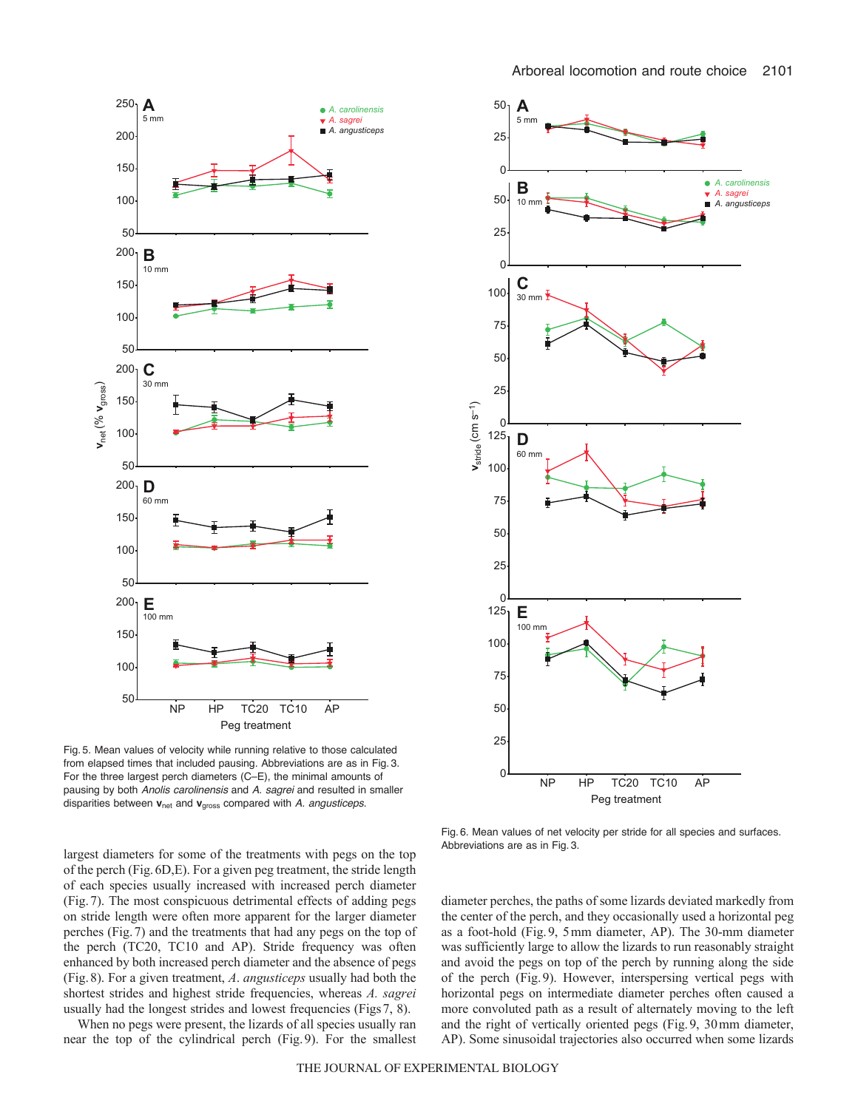



Fig. 5. Mean values of velocity while running relative to those calculated from elapsed times that included pausing. Abbreviations are as in Fig. 3. For the three largest perch diameters (C–E), the minimal amounts of pausing by both *Anolis carolinensis* and *A. sagrei* and resulted in smaller disparities between **v**net and **v**gross compared with *A. angusticeps.*

Fig. 6. Mean values of net velocity per stride for all species and surfaces. Abbreviations are as in Fig. 3.

largest diameters for some of the treatments with pegs on the top of the perch (Fig.6D,E). For a given peg treatment, the stride length of each species usually increased with increased perch diameter (Fig.7). The most conspicuous detrimental effects of adding pegs on stride length were often more apparent for the larger diameter perches (Fig.7) and the treatments that had any pegs on the top of the perch (TC20, TC10 and AP). Stride frequency was often enhanced by both increased perch diameter and the absence of pegs (Fig.8). For a given treatment, *A*. *angusticeps* usually had both the shortest strides and highest stride frequencies, whereas *A. sagrei* usually had the longest strides and lowest frequencies (Figs7, 8).

When no pegs were present, the lizards of all species usually ran near the top of the cylindrical perch (Fig.9). For the smallest diameter perches, the paths of some lizards deviated markedly from the center of the perch, and they occasionally used a horizontal peg as a foot-hold (Fig.9, 5mm diameter, AP). The 30-mm diameter was sufficiently large to allow the lizards to run reasonably straight and avoid the pegs on top of the perch by running along the side of the perch (Fig.9). However, interspersing vertical pegs with horizontal pegs on intermediate diameter perches often caused a more convoluted path as a result of alternately moving to the left and the right of vertically oriented pegs (Fig.9, 30mm diameter, AP). Some sinusoidal trajectories also occurred when some lizards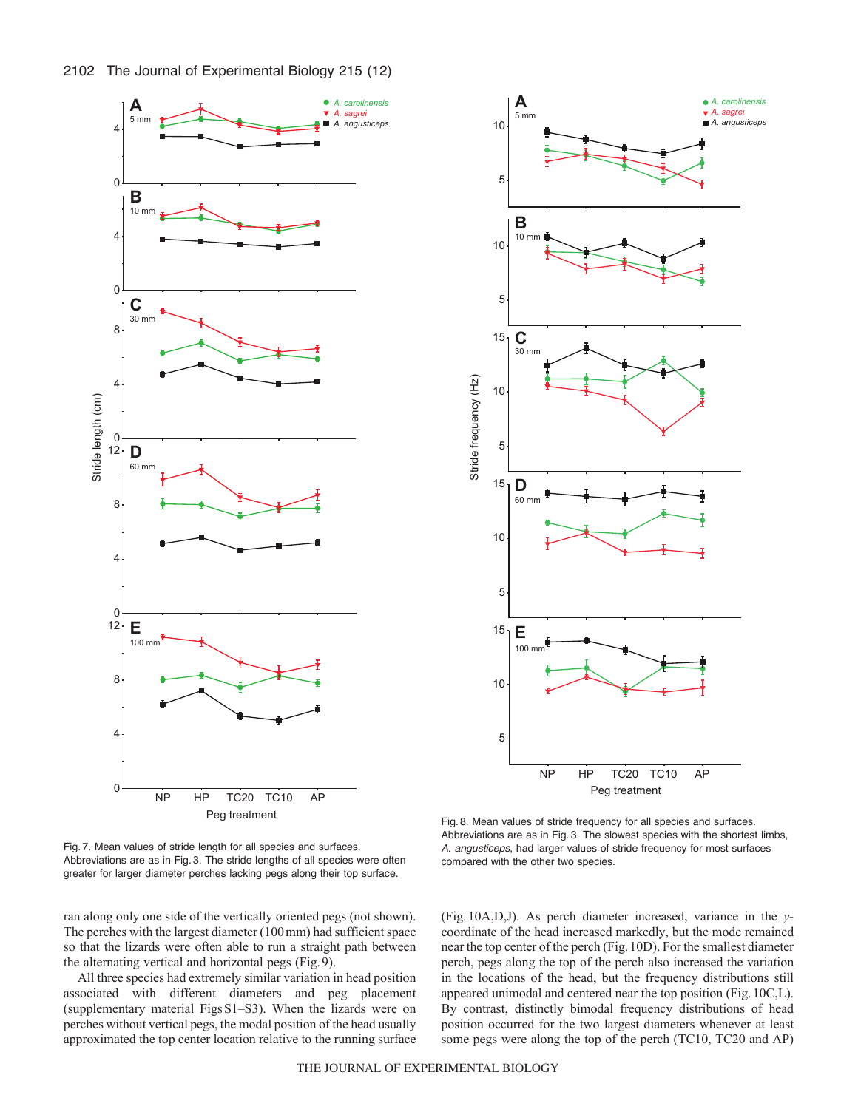



**A** *A. carolinensis*

2102 The Journal of Experimental Biology 215 (12)

Fig. 7. Mean values of stride length for all species and surfaces. Abbreviations are as in Fig. 3. The stride lengths of all species were often greater for larger diameter perches lacking pegs along their top surface.

ran along only one side of the vertically oriented pegs (not shown). The perches with the largest diameter (100mm) had sufficient space so that the lizards were often able to run a straight path between the alternating vertical and horizontal pegs (Fig.9).

All three species had extremely similar variation in head position associated with different diameters and peg placement (supplementary material FigsS1–S3). When the lizards were on perches without vertical pegs, the modal position of the head usually approximated the top center location relative to the running surface

Fig. 8. Mean values of stride frequency for all species and surfaces. Abbreviations are as in Fig. 3. The slowest species with the shortest limbs, *A. angusticeps*, had larger values of stride frequency for most surfaces compared with the other two species.

(Fig.10A,D,J). As perch diameter increased, variance in the *y*coordinate of the head increased markedly, but the mode remained near the top center of the perch (Fig.10D). For the smallest diameter perch, pegs along the top of the perch also increased the variation in the locations of the head, but the frequency distributions still appeared unimodal and centered near the top position (Fig.10C,L). By contrast, distinctly bimodal frequency distributions of head position occurred for the two largest diameters whenever at least some pegs were along the top of the perch (TC10, TC20 and AP)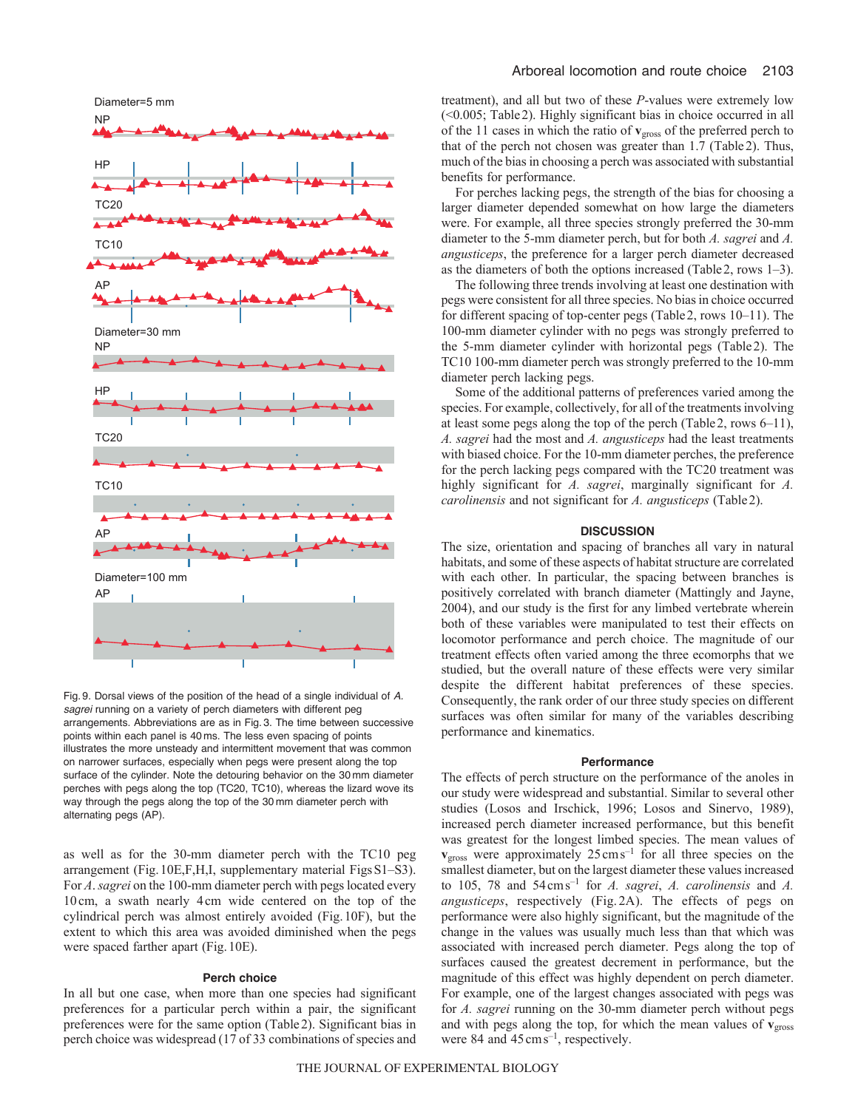

Fig. 9. Dorsal views of the position of the head of a single individual of *A. sagrei* running on a variety of perch diameters with different peg arrangements. Abbreviations are as in Fig. 3. The time between successive points within each panel is 40 ms. The less even spacing of points illustrates the more unsteady and intermittent movement that was common on narrower surfaces, especially when pegs were present along the top surface of the cylinder. Note the detouring behavior on the 30 mm diameter perches with pegs along the top (TC20, TC10), whereas the lizard wove its way through the pegs along the top of the 30 mm diameter perch with alternating pegs (AP).

as well as for the 30-mm diameter perch with the TC10 peg arrangement (Fig.10E,F,H,I, supplementary material FigsS1–S3). For *A*. *sagrei* on the 100-mm diameter perch with pegs located every 10cm, a swath nearly 4cm wide centered on the top of the cylindrical perch was almost entirely avoided (Fig.10F), but the extent to which this area was avoided diminished when the pegs were spaced farther apart (Fig.10E).

# **Perch choice**

In all but one case, when more than one species had significant preferences for a particular perch within a pair, the significant preferences were for the same option (Table2). Significant bias in perch choice was widespread (17 of 33 combinations of species and treatment), and all but two of these *P*-values were extremely low (<0.005; Table2). Highly significant bias in choice occurred in all of the 11 cases in which the ratio of **v**gross of the preferred perch to that of the perch not chosen was greater than 1.7 (Table2). Thus, much of the bias in choosing a perch was associated with substantial benefits for performance.

For perches lacking pegs, the strength of the bias for choosing a larger diameter depended somewhat on how large the diameters were. For example, all three species strongly preferred the 30-mm diameter to the 5-mm diameter perch, but for both *A. sagrei* and *A. angusticeps*, the preference for a larger perch diameter decreased as the diameters of both the options increased (Table2, rows 1–3).

The following three trends involving at least one destination with pegs were consistent for all three species. No bias in choice occurred for different spacing of top-center pegs (Table2, rows 10–11). The 100-mm diameter cylinder with no pegs was strongly preferred to the 5-mm diameter cylinder with horizontal pegs (Table2). The TC10 100-mm diameter perch was strongly preferred to the 10-mm diameter perch lacking pegs.

Some of the additional patterns of preferences varied among the species. For example, collectively, for all of the treatments involving at least some pegs along the top of the perch (Table2, rows 6–11), *A. sagrei* had the most and *A. angusticeps* had the least treatments with biased choice. For the 10-mm diameter perches, the preference for the perch lacking pegs compared with the TC20 treatment was highly significant for *A. sagrei*, marginally significant for *A. carolinensis* and not significant for *A. angusticeps* (Table2).

#### **DISCUSSION**

The size, orientation and spacing of branches all vary in natural habitats, and some of these aspects of habitat structure are correlated with each other. In particular, the spacing between branches is positively correlated with branch diameter (Mattingly and Jayne, 2004), and our study is the first for any limbed vertebrate wherein both of these variables were manipulated to test their effects on locomotor performance and perch choice. The magnitude of our treatment effects often varied among the three ecomorphs that we studied, but the overall nature of these effects were very similar despite the different habitat preferences of these species. Consequently, the rank order of our three study species on different surfaces was often similar for many of the variables describing performance and kinematics.

## **Performance**

The effects of perch structure on the performance of the anoles in our study were widespread and substantial. Similar to several other studies (Losos and Irschick, 1996; Losos and Sinervo, 1989), increased perch diameter increased performance, but this benefit was greatest for the longest limbed species. The mean values of **v**<sub>gross</sub> were approximately 25 cm s<sup>-1</sup> for all three species on the smallest diameter, but on the largest diameter these values increased to 105, 78 and 54cms–1 for *A. sagrei*, *A. carolinensis* and *A. angusticeps*, respectively (Fig. 2A). The effects of pegs on performance were also highly significant, but the magnitude of the change in the values was usually much less than that which was associated with increased perch diameter. Pegs along the top of surfaces caused the greatest decrement in performance, but the magnitude of this effect was highly dependent on perch diameter. For example, one of the largest changes associated with pegs was for *A. sagrei* running on the 30-mm diameter perch without pegs and with pegs along the top, for which the mean values of  $v_{\text{gross}}$ were 84 and  $45 \text{ cm s}^{-1}$ , respectively.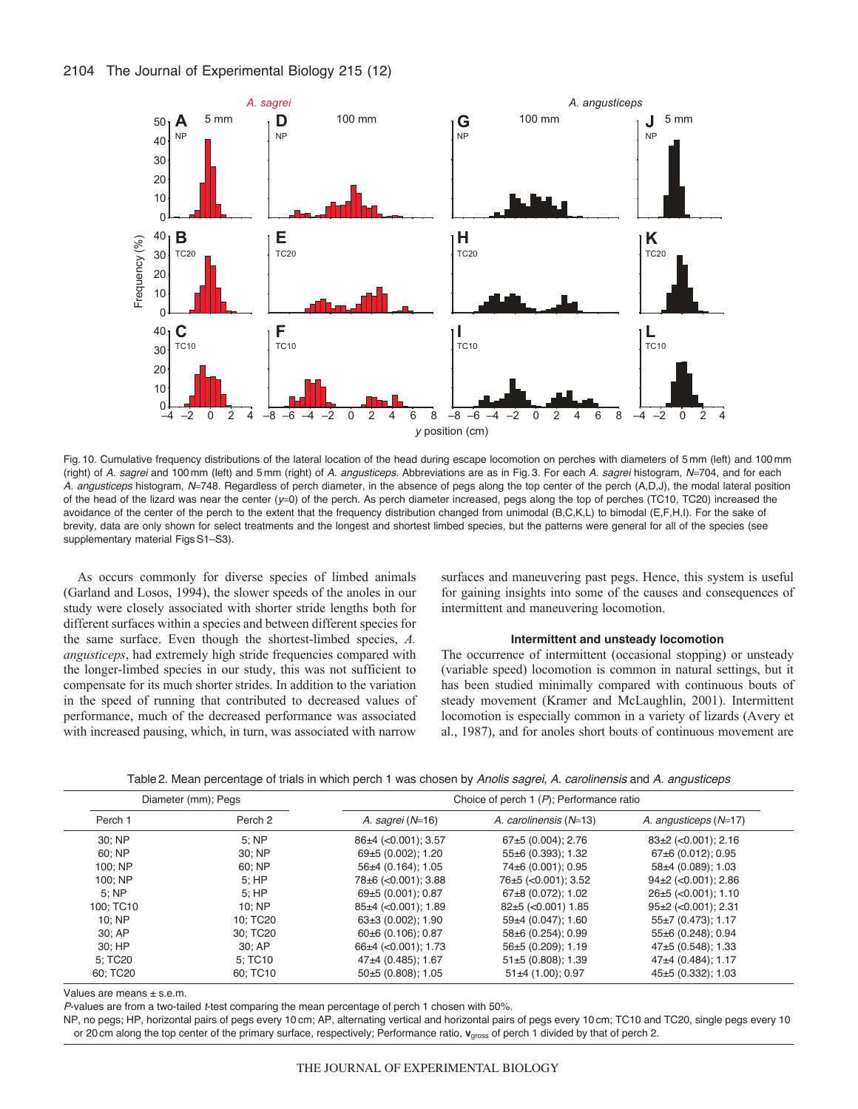

Fig. 10. Cumulative frequency distributions of the lateral location of the head during escape locomotion on perches with diameters of 5 mm (left) and 100 mm (right) of *A. sagrei* and 100 mm (left) and 5 mm (right) of *A. angusticeps*. Abbreviations are as in Fig. 3. For each *A. sagrei* histogram, *N*704, and for each A. angusticeps histogram, N=748. Regardless of perch diameter, in the absence of pegs along the top center of the perch (A,D,J), the modal lateral position of the head of the lizard was near the center ( $y=0$ ) of the perch. As perch diameter increased, pegs along the top of perches (TC10, TC20) increased the avoidance of the center of the perch to the extent that the frequency distribution changed from unimodal (B,C,K,L) to bimodal (E,F,H,I). For the sake of brevity, data are only shown for select treatments and the longest and shortest limbed species, but the patterns were general for all of the species (see supplementary material Figs S1-S3).

As occurs commonly for diverse species of limbed animals (Garland and Losos, 1994), the slower speeds of the anoles in our study were closely associated with shorter stride lengths both for different surfaces within a species and between different species for the same surface. Even though the shortest-limbed species, *A. angusticeps*, had extremely high stride frequencies compared with the longer-limbed species in our study, this was not sufficient to compensate for its much shorter strides. In addition to the variation in the speed of running that contributed to decreased values of performance, much of the decreased performance was associated with increased pausing, which, in turn, was associated with narrow

surfaces and maneuvering past pegs. Hence, this system is useful for gaining insights into some of the causes and consequences of intermittent and maneuvering locomotion.

### **Intermittent and unsteady locomotion**

The occurrence of intermittent (occasional stopping) or unsteady (variable speed) locomotion is common in natural settings, but it has been studied minimally compared with continuous bouts of steady movement (Kramer and McLaughlin, 2001). Intermittent locomotion is especially common in a variety of lizards (Avery et al., 1987), and for anoles short bouts of continuous movement are

| Table2. Mean percentage of trials in which perch 1 was chosen by <i>Anolis sagrei, A. carolinensis</i> and <i>A. angusticeps</i> |  |  |  |  |
|----------------------------------------------------------------------------------------------------------------------------------|--|--|--|--|
|----------------------------------------------------------------------------------------------------------------------------------|--|--|--|--|

|           | Diameter (mm); Pegs | Choice of perch 1 $(P)$ ; Performance ratio |                          |                             |  |  |
|-----------|---------------------|---------------------------------------------|--------------------------|-----------------------------|--|--|
| Perch 1   | Perch <sub>2</sub>  | A. sagrei $(N=16)$                          | A. carolinensis $(N=13)$ | A. angusticeps $(N=17)$     |  |  |
| 30; NP    | 5:NP                | 86±4 (< 0.001); 3.57                        | 67±5 (0.004); 2.76       | $83\pm2$ (<0.001); 2.16     |  |  |
| 60: NP    | 30: NP              | 69±5 (0.002); 1.20                          | 55±6 (0.393); 1.32       | 67±6 (0.012); 0.95          |  |  |
| 100: NP   | 60; NP              | $56\pm4(0.164)$ ; 1.05                      | 74±6 (0.001); 0.95       | 58±4 (0.089); 1.03          |  |  |
| 100; NP   | 5:HP                | 78±6 (< 0.001); 3.88                        | 76±5 (<0.001); 3.52      | $94\pm2$ (<0.001); 2.86     |  |  |
| 5:NP      | 5:HP                | 69±5 (0.001): 0.87                          | 67±8 (0.072); 1.02       | $26\pm5$ ( $<$ 0.001): 1.10 |  |  |
| 100: TC10 | 10:NP               | $85±4$ (<0.001); 1.89                       | 82±5 (<0.001) 1.85       | $95\pm2$ (<0.001); 2.31     |  |  |
| 10:NP     | 10: TC20            | $63\pm3(0.002)$ ; 1.90                      | $59+4$ (0.047); 1.60     | $55\pm7(0.473)$ ; 1.17      |  |  |
| 30; AP    | 30: TC20            | $60\pm6(0.106)$ ; 0.87                      | 58±6 (0.254); 0.99       | 55±6 (0.248); 0.94          |  |  |
| 30; HP    | 30; AP              | $66\pm4$ (< 0.001); 1.73                    | 56±5 (0.209); 1.19       | $47\pm5(0.548)$ ; 1.33      |  |  |
| 5; TC20   | 5; TC10             | $47+4$ (0.485); 1.67                        | $51\pm5(0.808)$ ; 1.39   | 47±4 (0.484); 1.17          |  |  |
| 60: TC20  | 60: TC10            | $50\pm5(0.808)$ ; 1.05                      | $51\pm4(1.00)$ ; 0.97    | 45±5 (0.332); 1.03          |  |  |

Values are means ± s.e.m.

*P*-values are from a two-tailed *t*-test comparing the mean percentage of perch 1 chosen with 50%.

NP, no pegs; HP, horizontal pairs of pegs every 10 cm; AP, alternating vertical and horizontal pairs of pegs every 10 cm; TC10 and TC20, single pegs every 10 or 20 cm along the top center of the primary surface, respectively; Performance ratio, **v**gross of perch 1 divided by that of perch 2.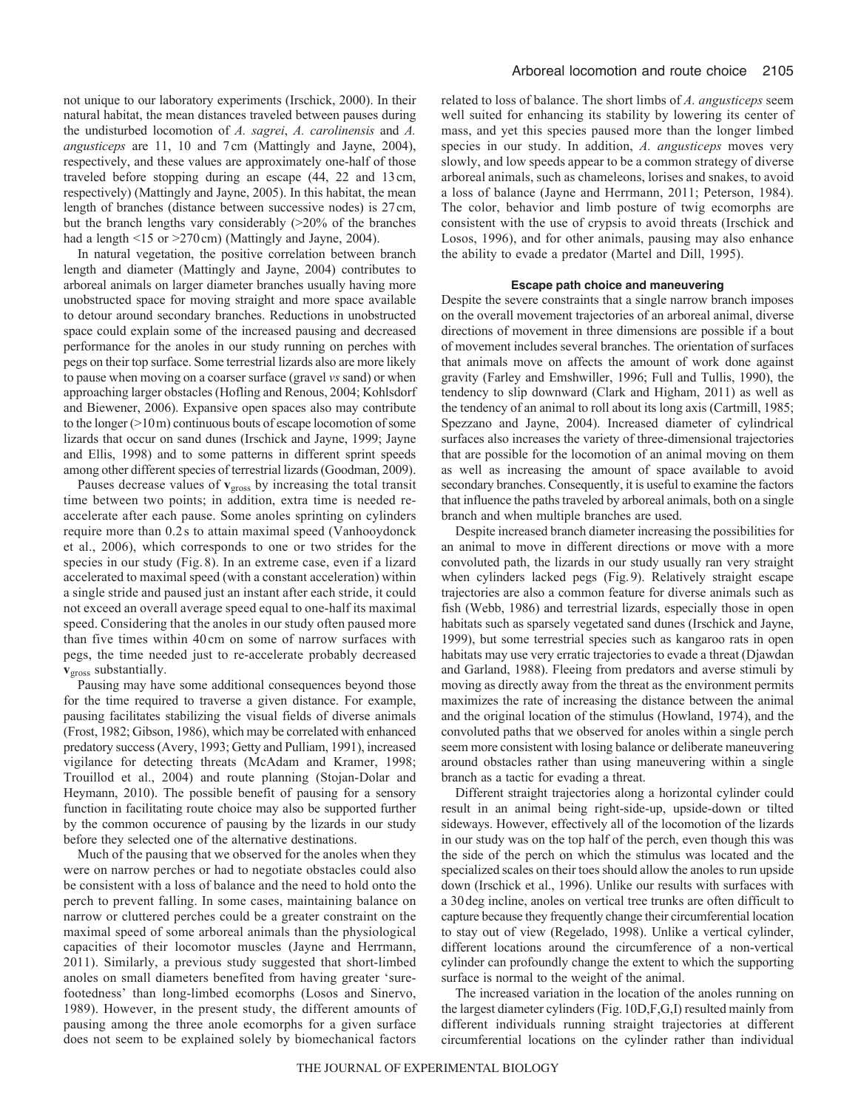not unique to our laboratory experiments (Irschick, 2000). In their natural habitat, the mean distances traveled between pauses during the undisturbed locomotion of *A. sagrei*, *A. carolinensis* and *A. angusticeps* are 11, 10 and 7cm (Mattingly and Jayne, 2004), respectively, and these values are approximately one-half of those traveled before stopping during an escape (44, 22 and 13cm, respectively) (Mattingly and Jayne, 2005). In this habitat, the mean length of branches (distance between successive nodes) is 27cm, but the branch lengths vary considerably (>20% of the branches had a length  $\leq 15$  or  $\geq 270$  cm) (Mattingly and Jayne, 2004).

In natural vegetation, the positive correlation between branch length and diameter (Mattingly and Jayne, 2004) contributes to arboreal animals on larger diameter branches usually having more unobstructed space for moving straight and more space available to detour around secondary branches. Reductions in unobstructed space could explain some of the increased pausing and decreased performance for the anoles in our study running on perches with pegs on their top surface. Some terrestrial lizards also are more likely to pause when moving on a coarser surface (gravel *vs* sand) or when approaching larger obstacles (Hofling and Renous, 2004; Kohlsdorf and Biewener, 2006). Expansive open spaces also may contribute to the longer (>10m) continuous bouts of escape locomotion of some lizards that occur on sand dunes (Irschick and Jayne, 1999; Jayne and Ellis, 1998) and to some patterns in different sprint speeds among other different species of terrestrial lizards (Goodman, 2009).

Pauses decrease values of **v**<sub>gross</sub> by increasing the total transit time between two points; in addition, extra time is needed reaccelerate after each pause. Some anoles sprinting on cylinders require more than 0.2 s to attain maximal speed (Vanhooydonck et al., 2006), which corresponds to one or two strides for the species in our study (Fig. 8). In an extreme case, even if a lizard accelerated to maximal speed (with a constant acceleration) within a single stride and paused just an instant after each stride, it could not exceed an overall average speed equal to one-half its maximal speed. Considering that the anoles in our study often paused more than five times within 40 cm on some of narrow surfaces with pegs, the time needed just to re-accelerate probably decreased **v**gross substantially.

Pausing may have some additional consequences beyond those for the time required to traverse a given distance. For example, pausing facilitates stabilizing the visual fields of diverse animals (Frost, 1982; Gibson, 1986), which may be correlated with enhanced predatory success (Avery, 1993; Getty and Pulliam, 1991), increased vigilance for detecting threats (McAdam and Kramer, 1998; Trouillod et al., 2004) and route planning (Stojan-Dolar and Heymann, 2010). The possible benefit of pausing for a sensory function in facilitating route choice may also be supported further by the common occurence of pausing by the lizards in our study before they selected one of the alternative destinations.

Much of the pausing that we observed for the anoles when they were on narrow perches or had to negotiate obstacles could also be consistent with a loss of balance and the need to hold onto the perch to prevent falling. In some cases, maintaining balance on narrow or cluttered perches could be a greater constraint on the maximal speed of some arboreal animals than the physiological capacities of their locomotor muscles (Jayne and Herrmann, 2011). Similarly, a previous study suggested that short-limbed anoles on small diameters benefited from having greater 'surefootedness' than long-limbed ecomorphs (Losos and Sinervo, 1989). However, in the present study, the different amounts of pausing among the three anole ecomorphs for a given surface does not seem to be explained solely by biomechanical factors related to loss of balance. The short limbs of *A. angusticeps* seem well suited for enhancing its stability by lowering its center of mass, and yet this species paused more than the longer limbed species in our study. In addition, *A. angusticeps* moves very slowly, and low speeds appear to be a common strategy of diverse arboreal animals, such as chameleons, lorises and snakes, to avoid a loss of balance (Jayne and Herrmann, 2011; Peterson, 1984). The color, behavior and limb posture of twig ecomorphs are consistent with the use of crypsis to avoid threats (Irschick and Losos, 1996), and for other animals, pausing may also enhance the ability to evade a predator (Martel and Dill, 1995).

# **Escape path choice and maneuvering**

Despite the severe constraints that a single narrow branch imposes on the overall movement trajectories of an arboreal animal, diverse directions of movement in three dimensions are possible if a bout of movement includes several branches. The orientation of surfaces that animals move on affects the amount of work done against gravity (Farley and Emshwiller, 1996; Full and Tullis, 1990), the tendency to slip downward (Clark and Higham, 2011) as well as the tendency of an animal to roll about its long axis (Cartmill, 1985; Spezzano and Jayne, 2004). Increased diameter of cylindrical surfaces also increases the variety of three-dimensional trajectories that are possible for the locomotion of an animal moving on them as well as increasing the amount of space available to avoid secondary branches. Consequently, it is useful to examine the factors that influence the paths traveled by arboreal animals, both on a single branch and when multiple branches are used.

Despite increased branch diameter increasing the possibilities for an animal to move in different directions or move with a more convoluted path, the lizards in our study usually ran very straight when cylinders lacked pegs (Fig.9). Relatively straight escape trajectories are also a common feature for diverse animals such as fish (Webb, 1986) and terrestrial lizards, especially those in open habitats such as sparsely vegetated sand dunes (Irschick and Jayne, 1999), but some terrestrial species such as kangaroo rats in open habitats may use very erratic trajectories to evade a threat (Djawdan and Garland, 1988). Fleeing from predators and averse stimuli by moving as directly away from the threat as the environment permits maximizes the rate of increasing the distance between the animal and the original location of the stimulus (Howland, 1974), and the convoluted paths that we observed for anoles within a single perch seem more consistent with losing balance or deliberate maneuvering around obstacles rather than using maneuvering within a single branch as a tactic for evading a threat.

Different straight trajectories along a horizontal cylinder could result in an animal being right-side-up, upside-down or tilted sideways. However, effectively all of the locomotion of the lizards in our study was on the top half of the perch, even though this was the side of the perch on which the stimulus was located and the specialized scales on their toes should allow the anoles to run upside down (Irschick et al., 1996). Unlike our results with surfaces with a 30deg incline, anoles on vertical tree trunks are often difficult to capture because they frequently change their circumferential location to stay out of view (Regelado, 1998). Unlike a vertical cylinder, different locations around the circumference of a non-vertical cylinder can profoundly change the extent to which the supporting surface is normal to the weight of the animal.

The increased variation in the location of the anoles running on the largest diameter cylinders (Fig.10D,F,G,I) resulted mainly from different individuals running straight trajectories at different circumferential locations on the cylinder rather than individual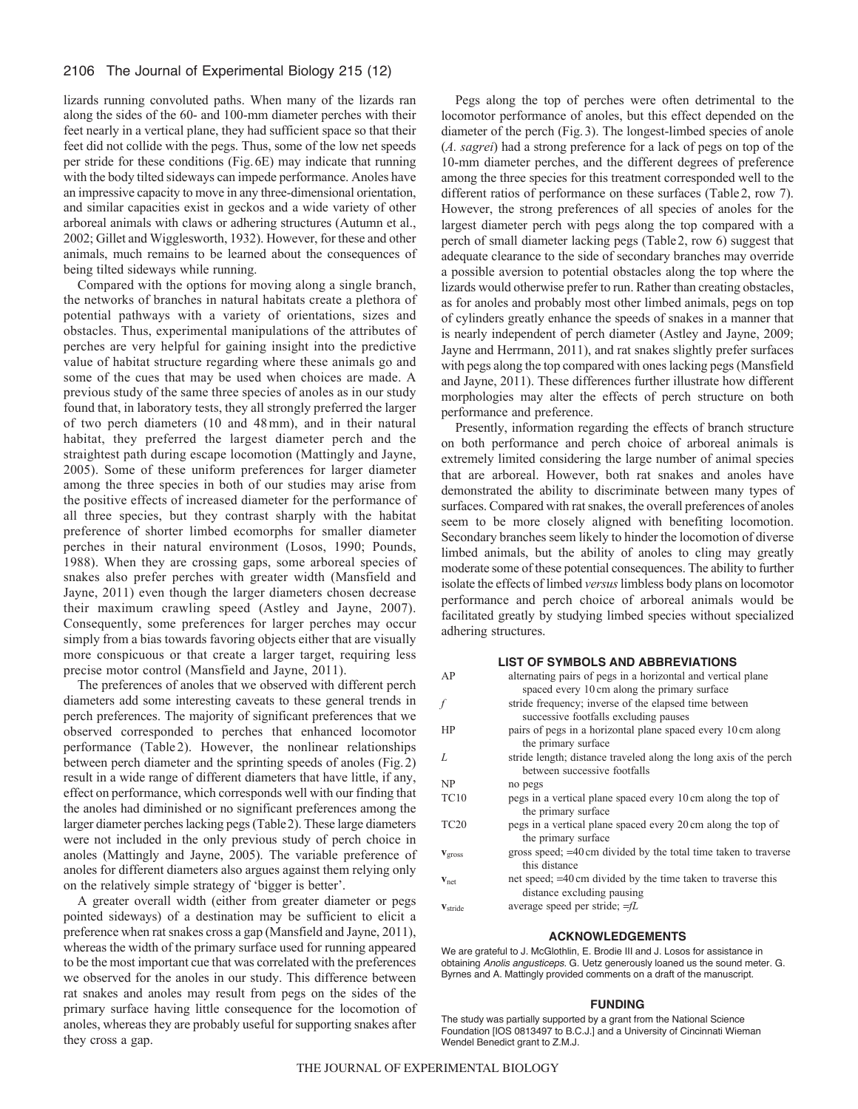# 2106 The Journal of Experimental Biology 215 (12)

lizards running convoluted paths. When many of the lizards ran along the sides of the 60- and 100-mm diameter perches with their feet nearly in a vertical plane, they had sufficient space so that their feet did not collide with the pegs. Thus, some of the low net speeds per stride for these conditions (Fig.6E) may indicate that running with the body tilted sideways can impede performance. Anoles have an impressive capacity to move in any three-dimensional orientation, and similar capacities exist in geckos and a wide variety of other arboreal animals with claws or adhering structures (Autumn et al., 2002; Gillet and Wigglesworth, 1932). However, for these and other animals, much remains to be learned about the consequences of being tilted sideways while running.

Compared with the options for moving along a single branch, the networks of branches in natural habitats create a plethora of potential pathways with a variety of orientations, sizes and obstacles. Thus, experimental manipulations of the attributes of perches are very helpful for gaining insight into the predictive value of habitat structure regarding where these animals go and some of the cues that may be used when choices are made. A previous study of the same three species of anoles as in our study found that, in laboratory tests, they all strongly preferred the larger of two perch diameters (10 and 48mm), and in their natural habitat, they preferred the largest diameter perch and the straightest path during escape locomotion (Mattingly and Jayne, 2005). Some of these uniform preferences for larger diameter among the three species in both of our studies may arise from the positive effects of increased diameter for the performance of all three species, but they contrast sharply with the habitat preference of shorter limbed ecomorphs for smaller diameter perches in their natural environment (Losos, 1990; Pounds, 1988). When they are crossing gaps, some arboreal species of snakes also prefer perches with greater width (Mansfield and Jayne, 2011) even though the larger diameters chosen decrease their maximum crawling speed (Astley and Jayne, 2007). Consequently, some preferences for larger perches may occur simply from a bias towards favoring objects either that are visually more conspicuous or that create a larger target, requiring less precise motor control (Mansfield and Jayne, 2011).

The preferences of anoles that we observed with different perch diameters add some interesting caveats to these general trends in perch preferences. The majority of significant preferences that we observed corresponded to perches that enhanced locomotor performance (Table 2). However, the nonlinear relationships between perch diameter and the sprinting speeds of anoles (Fig.2) result in a wide range of different diameters that have little, if any, effect on performance, which corresponds well with our finding that the anoles had diminished or no significant preferences among the larger diameter perches lacking pegs (Table2). These large diameters were not included in the only previous study of perch choice in anoles (Mattingly and Jayne, 2005). The variable preference of anoles for different diameters also argues against them relying only on the relatively simple strategy of 'bigger is better'.

A greater overall width (either from greater diameter or pegs pointed sideways) of a destination may be sufficient to elicit a preference when rat snakes cross a gap (Mansfield and Jayne, 2011), whereas the width of the primary surface used for running appeared to be the most important cue that was correlated with the preferences we observed for the anoles in our study. This difference between rat snakes and anoles may result from pegs on the sides of the primary surface having little consequence for the locomotion of anoles, whereas they are probably useful for supporting snakes after they cross a gap.

Pegs along the top of perches were often detrimental to the locomotor performance of anoles, but this effect depended on the diameter of the perch (Fig.3). The longest-limbed species of anole (*A. sagrei*) had a strong preference for a lack of pegs on top of the 10-mm diameter perches, and the different degrees of preference among the three species for this treatment corresponded well to the different ratios of performance on these surfaces (Table2, row 7). However, the strong preferences of all species of anoles for the largest diameter perch with pegs along the top compared with a perch of small diameter lacking pegs (Table2, row 6) suggest that adequate clearance to the side of secondary branches may override a possible aversion to potential obstacles along the top where the lizards would otherwise prefer to run. Rather than creating obstacles, as for anoles and probably most other limbed animals, pegs on top of cylinders greatly enhance the speeds of snakes in a manner that is nearly independent of perch diameter (Astley and Jayne, 2009; Jayne and Herrmann, 2011), and rat snakes slightly prefer surfaces with pegs along the top compared with ones lacking pegs (Mansfield and Jayne, 2011). These differences further illustrate how different morphologies may alter the effects of perch structure on both performance and preference.

Presently, information regarding the effects of branch structure on both performance and perch choice of arboreal animals is extremely limited considering the large number of animal species that are arboreal. However, both rat snakes and anoles have demonstrated the ability to discriminate between many types of surfaces. Compared with rat snakes, the overall preferences of anoles seem to be more closely aligned with benefiting locomotion. Secondary branches seem likely to hinder the locomotion of diverse limbed animals, but the ability of anoles to cling may greatly moderate some of these potential consequences. The ability to further isolate the effects of limbed *versus*limbless body plans on locomotor performance and perch choice of arboreal animals would be facilitated greatly by studying limbed species without specialized adhering structures.

## **LIST OF SYMBOLS AND ABBREVIATIONS**

| AP                  | alternating pairs of pegs in a horizontal and vertical plane<br>spaced every 10 cm along the primary surface |
|---------------------|--------------------------------------------------------------------------------------------------------------|
| f                   | stride frequency; inverse of the elapsed time between<br>successive footfalls excluding pauses               |
| HP                  | pairs of pegs in a horizontal plane spaced every 10 cm along<br>the primary surface                          |
| L                   | stride length; distance traveled along the long axis of the perch<br>between successive footfalls            |
| NP                  | no pegs                                                                                                      |
| <b>TC10</b>         | pegs in a vertical plane spaced every 10 cm along the top of<br>the primary surface                          |
| TC <sub>20</sub>    | pegs in a vertical plane spaced every 20 cm along the top of<br>the primary surface                          |
| $V_{\rm gross}$     | gross speed; =40 cm divided by the total time taken to traverse<br>this distance                             |
| $Vnet$              | net speed; =40 cm divided by the time taken to traverse this<br>distance excluding pausing                   |
| V <sub>stride</sub> | average speed per stride; $=fL$                                                                              |
|                     |                                                                                                              |

#### **ACKNOWLEDGEMENTS**

We are grateful to J. McGlothlin, E. Brodie III and J. Losos for assistance in obtaining *Anolis angusticeps*. G. Uetz generously loaned us the sound meter. G. Byrnes and A. Mattingly provided comments on a draft of the manuscript.

#### **FUNDING**

The study was partially supported by a grant from the National Science Foundation [IOS 0813497 to B.C.J.] and a University of Cincinnati Wieman Wendel Benedict grant to Z.M.J.